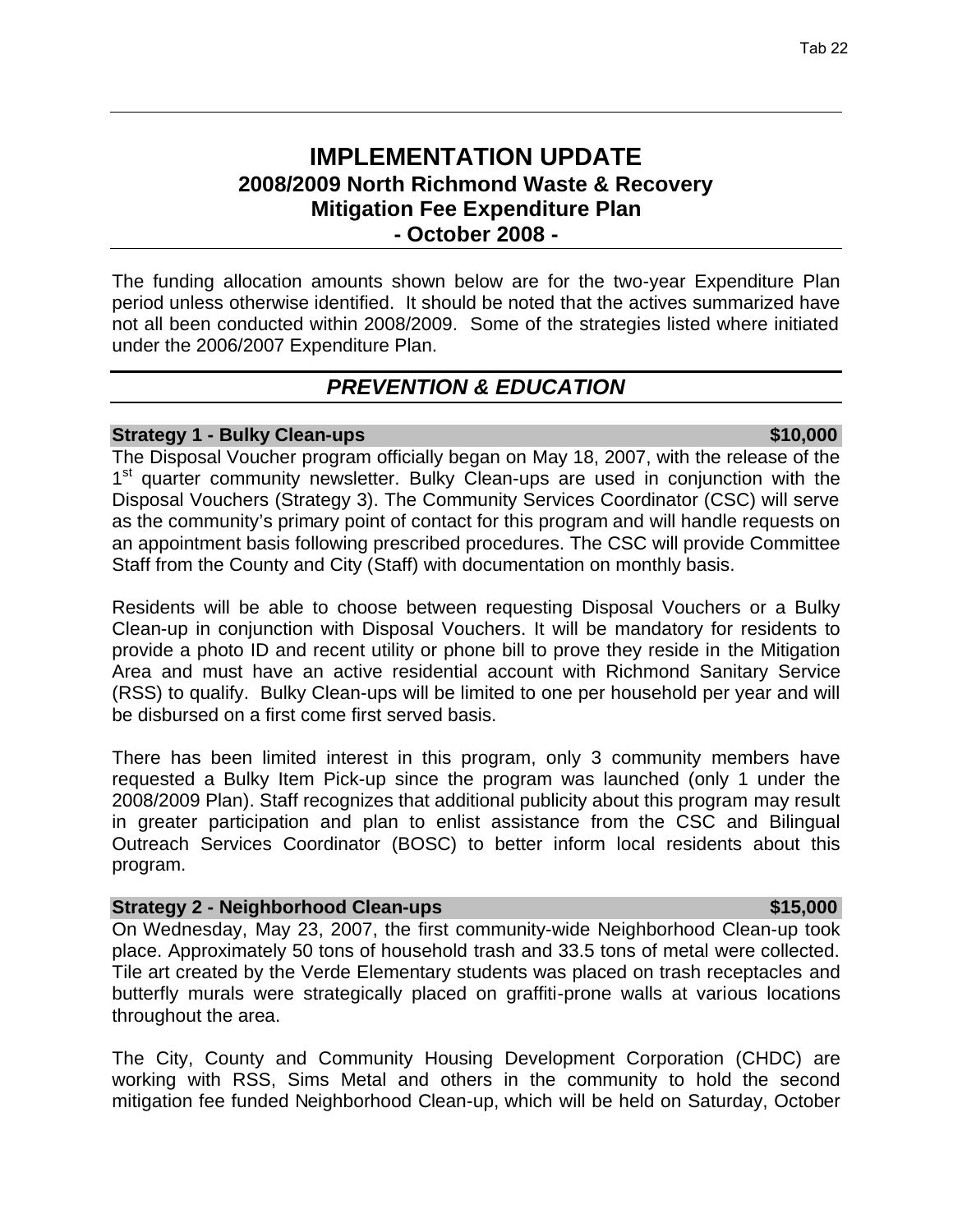# **IMPLEMENTATION UPDATE 2008/2009 North Richmond Waste & Recovery Mitigation Fee Expenditure Plan - October 2008 -**

The funding allocation amounts shown below are for the two-year Expenditure Plan period unless otherwise identified. It should be noted that the actives summarized have not all been conducted within 2008/2009. Some of the strategies listed where initiated under the 2006/2007 Expenditure Plan.

# *PREVENTION & EDUCATION*

# **Strategy 1 - Bulky Clean-ups \$10,000 \$10,000 \$10,000 \$10,000 \$10,000 \$10,000 \$10,000 \$10,000 \$10,000 \$10,000 \$10.000 \$10,000 \$10,000 \$10,000 \$10,000 \$10,000 \$10,000 \$10,000 \$10,000 \$10,000 \$10,000 \$10,000 \$10,000 \$10,000**

The Disposal Voucher program officially began on May 18, 2007, with the release of the 1<sup>st</sup> quarter community newsletter. Bulky Clean-ups are used in conjunction with the Disposal Vouchers (Strategy 3). The Community Services Coordinator (CSC) will serve as the community's primary point of contact for this program and will handle requests on an appointment basis following prescribed procedures. The CSC will provide Committee Staff from the County and City (Staff) with documentation on monthly basis.

Residents will be able to choose between requesting Disposal Vouchers or a Bulky Clean-up in conjunction with Disposal Vouchers. It will be mandatory for residents to provide a photo ID and recent utility or phone bill to prove they reside in the Mitigation Area and must have an active residential account with Richmond Sanitary Service (RSS) to qualify. Bulky Clean-ups will be limited to one per household per year and will be disbursed on a first come first served basis.

There has been limited interest in this program, only 3 community members have requested a Bulky Item Pick-up since the program was launched (only 1 under the 2008/2009 Plan). Staff recognizes that additional publicity about this program may result in greater participation and plan to enlist assistance from the CSC and Bilingual Outreach Services Coordinator (BOSC) to better inform local residents about this program.

### **Strategy 2 - Neighborhood Clean-ups \$15,000 \$15,000**

On Wednesday, May 23, 2007, the first community-wide Neighborhood Clean-up took place. Approximately 50 tons of household trash and 33.5 tons of metal were collected. Tile art created by the Verde Elementary students was placed on trash receptacles and butterfly murals were strategically placed on graffiti-prone walls at various locations throughout the area.

The City, County and Community Housing Development Corporation (CHDC) are working with RSS, Sims Metal and others in the community to hold the second mitigation fee funded Neighborhood Clean-up, which will be held on Saturday, October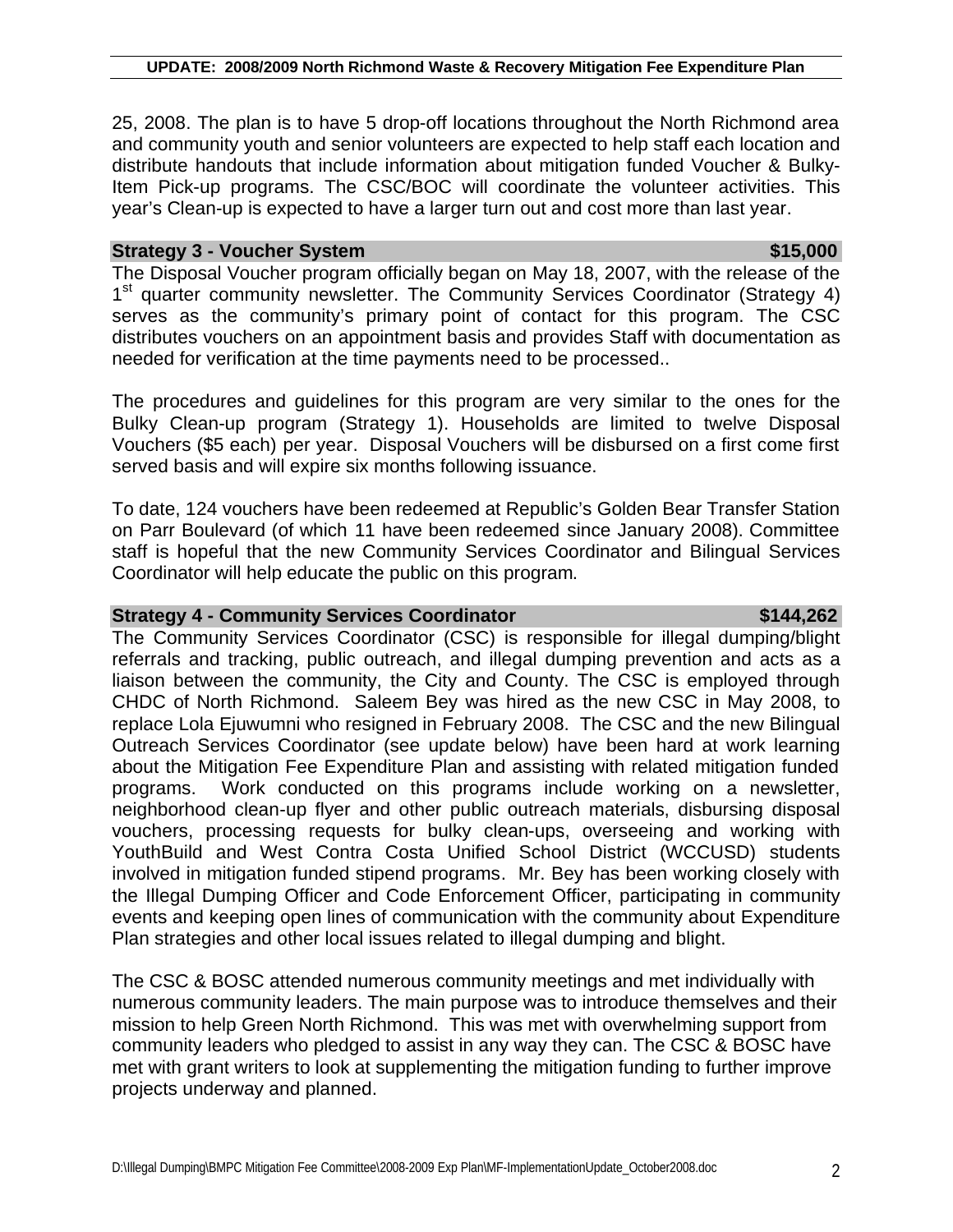25, 2008. The plan is to have 5 drop-off locations throughout the North Richmond area and community youth and senior volunteers are expected to help staff each location and distribute handouts that include information about mitigation funded Voucher & Bulky-Item Pick-up programs. The CSC/BOC will coordinate the volunteer activities. This year's Clean-up is expected to have a larger turn out and cost more than last year.

### **Strategy 3 - Voucher System**  $\blacksquare$  **by the strategy of the strategy of the strategy of the strategy of the strategy of the strategy of the strategy of the strategy of the strategy of the strategy of the strategy of the str**

The Disposal Voucher program officially began on May 18, 2007, with the release of the 1<sup>st</sup> quarter community newsletter. The Community Services Coordinator (Strategy 4) serves as the community's primary point of contact for this program. The CSC distributes vouchers on an appointment basis and provides Staff with documentation as needed for verification at the time payments need to be processed..

The procedures and guidelines for this program are very similar to the ones for the Bulky Clean-up program (Strategy 1). Households are limited to twelve Disposal Vouchers (\$5 each) per year. Disposal Vouchers will be disbursed on a first come first served basis and will expire six months following issuance.

To date, 124 vouchers have been redeemed at Republic's Golden Bear Transfer Station on Parr Boulevard (of which 11 have been redeemed since January 2008). Committee staff is hopeful that the new Community Services Coordinator and Bilingual Services Coordinator will help educate the public on this program.

### **Strategy 4 - Community Services Coordinator**  $\frac{1}{2}$  **\$144,262**

# The Community Services Coordinator (CSC) is responsible for illegal dumping/blight referrals and tracking, public outreach, and illegal dumping prevention and acts as a liaison between the community, the City and County. The CSC is employed through CHDC of North Richmond. Saleem Bey was hired as the new CSC in May 2008, to replace Lola Ejuwumni who resigned in February 2008. The CSC and the new Bilingual Outreach Services Coordinator (see update below) have been hard at work learning about the Mitigation Fee Expenditure Plan and assisting with related mitigation funded programs. Work conducted on this programs include working on a newsletter, neighborhood clean-up flyer and other public outreach materials, disbursing disposal vouchers, processing requests for bulky clean-ups, overseeing and working with YouthBuild and West Contra Costa Unified School District (WCCUSD) students involved in mitigation funded stipend programs. Mr. Bey has been working closely with the Illegal Dumping Officer and Code Enforcement Officer, participating in community events and keeping open lines of communication with the community about Expenditure Plan strategies and other local issues related to illegal dumping and blight.

The CSC & BOSC attended numerous community meetings and met individually with numerous community leaders. The main purpose was to introduce themselves and their mission to help Green North Richmond. This was met with overwhelming support from community leaders who pledged to assist in any way they can. The CSC & BOSC have met with grant writers to look at supplementing the mitigation funding to further improve projects underway and planned.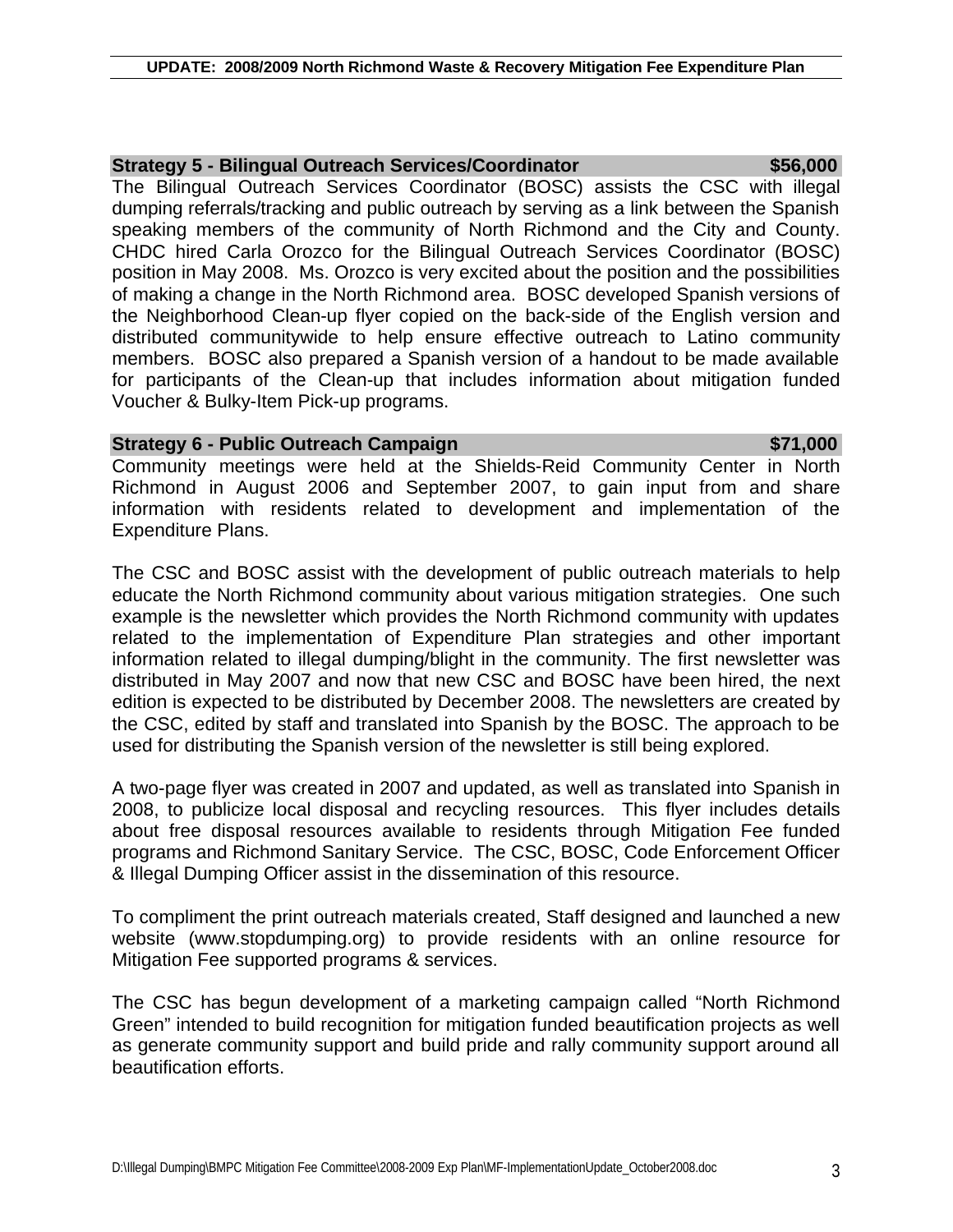# **Strategy 5 - Bilingual Outreach Services/Coordinator \$56,000**

The Bilingual Outreach Services Coordinator (BOSC) assists the CSC with illegal dumping referrals/tracking and public outreach by serving as a link between the Spanish speaking members of the community of North Richmond and the City and County. CHDC hired Carla Orozco for the Bilingual Outreach Services Coordinator (BOSC) position in May 2008. Ms. Orozco is very excited about the position and the possibilities of making a change in the North Richmond area. BOSC developed Spanish versions of the Neighborhood Clean-up flyer copied on the back-side of the English version and distributed communitywide to help ensure effective outreach to Latino community members. BOSC also prepared a Spanish version of a handout to be made available for participants of the Clean-up that includes information about mitigation funded Voucher & Bulky-Item Pick-up programs.

### **Strategy 6 - Public Outreach Campaign**  $\bullet$  **571,000**

Community meetings were held at the Shields-Reid Community Center in North Richmond in August 2006 and September 2007, to gain input from and share information with residents related to development and implementation of the Expenditure Plans.

The CSC and BOSC assist with the development of public outreach materials to help educate the North Richmond community about various mitigation strategies. One such example is the newsletter which provides the North Richmond community with updates related to the implementation of Expenditure Plan strategies and other important information related to illegal dumping/blight in the community. The first newsletter was distributed in May 2007 and now that new CSC and BOSC have been hired, the next edition is expected to be distributed by December 2008. The newsletters are created by the CSC, edited by staff and translated into Spanish by the BOSC. The approach to be used for distributing the Spanish version of the newsletter is still being explored.

A two-page flyer was created in 2007 and updated, as well as translated into Spanish in 2008, to publicize local disposal and recycling resources. This flyer includes details about free disposal resources available to residents through Mitigation Fee funded programs and Richmond Sanitary Service. The CSC, BOSC, Code Enforcement Officer & Illegal Dumping Officer assist in the dissemination of this resource.

To compliment the print outreach materials created, Staff designed and launched a new website (www.stopdumping.org) to provide residents with an online resource for Mitigation Fee supported programs & services.

The CSC has begun development of a marketing campaign called "North Richmond Green" intended to build recognition for mitigation funded beautification projects as well as generate community support and build pride and rally community support around all beautification efforts.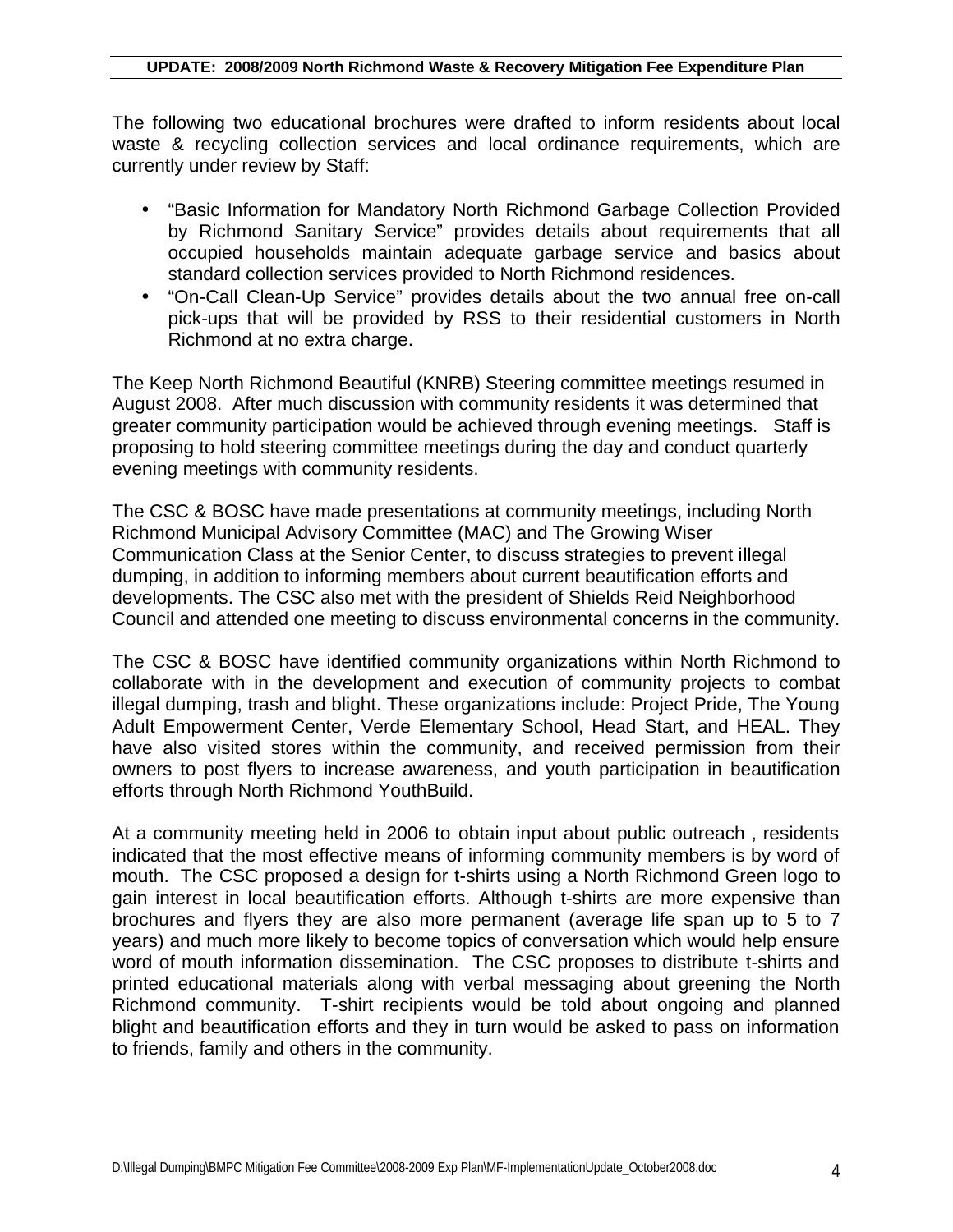The following two educational brochures were drafted to inform residents about local waste & recycling collection services and local ordinance requirements, which are currently under review by Staff:

- "Basic Information for Mandatory North Richmond Garbage Collection Provided by Richmond Sanitary Service" provides details about requirements that all occupied households maintain adequate garbage service and basics about standard collection services provided to North Richmond residences.
- "On-Call Clean-Up Service" provides details about the two annual free on-call pick-ups that will be provided by RSS to their residential customers in North Richmond at no extra charge.

The Keep North Richmond Beautiful (KNRB) Steering committee meetings resumed in August 2008. After much discussion with community residents it was determined that greater community participation would be achieved through evening meetings. Staff is proposing to hold steering committee meetings during the day and conduct quarterly evening meetings with community residents.

The CSC & BOSC have made presentations at community meetings, including North Richmond Municipal Advisory Committee (MAC) and The Growing Wiser Communication Class at the Senior Center, to discuss strategies to prevent illegal dumping, in addition to informing members about current beautification efforts and developments. The CSC also met with the president of Shields Reid Neighborhood Council and attended one meeting to discuss environmental concerns in the community.

The CSC & BOSC have identified community organizations within North Richmond to collaborate with in the development and execution of community projects to combat illegal dumping, trash and blight. These organizations include: Project Pride, The Young Adult Empowerment Center, Verde Elementary School, Head Start, and HEAL. They have also visited stores within the community, and received permission from their owners to post flyers to increase awareness, and youth participation in beautification efforts through North Richmond YouthBuild.

At a community meeting held in 2006 to obtain input about public outreach , residents indicated that the most effective means of informing community members is by word of mouth. The CSC proposed a design for t-shirts using a North Richmond Green logo to gain interest in local beautification efforts. Although t-shirts are more expensive than brochures and flyers they are also more permanent (average life span up to 5 to 7 years) and much more likely to become topics of conversation which would help ensure word of mouth information dissemination. The CSC proposes to distribute t-shirts and printed educational materials along with verbal messaging about greening the North Richmond community. T-shirt recipients would be told about ongoing and planned blight and beautification efforts and they in turn would be asked to pass on information to friends, family and others in the community.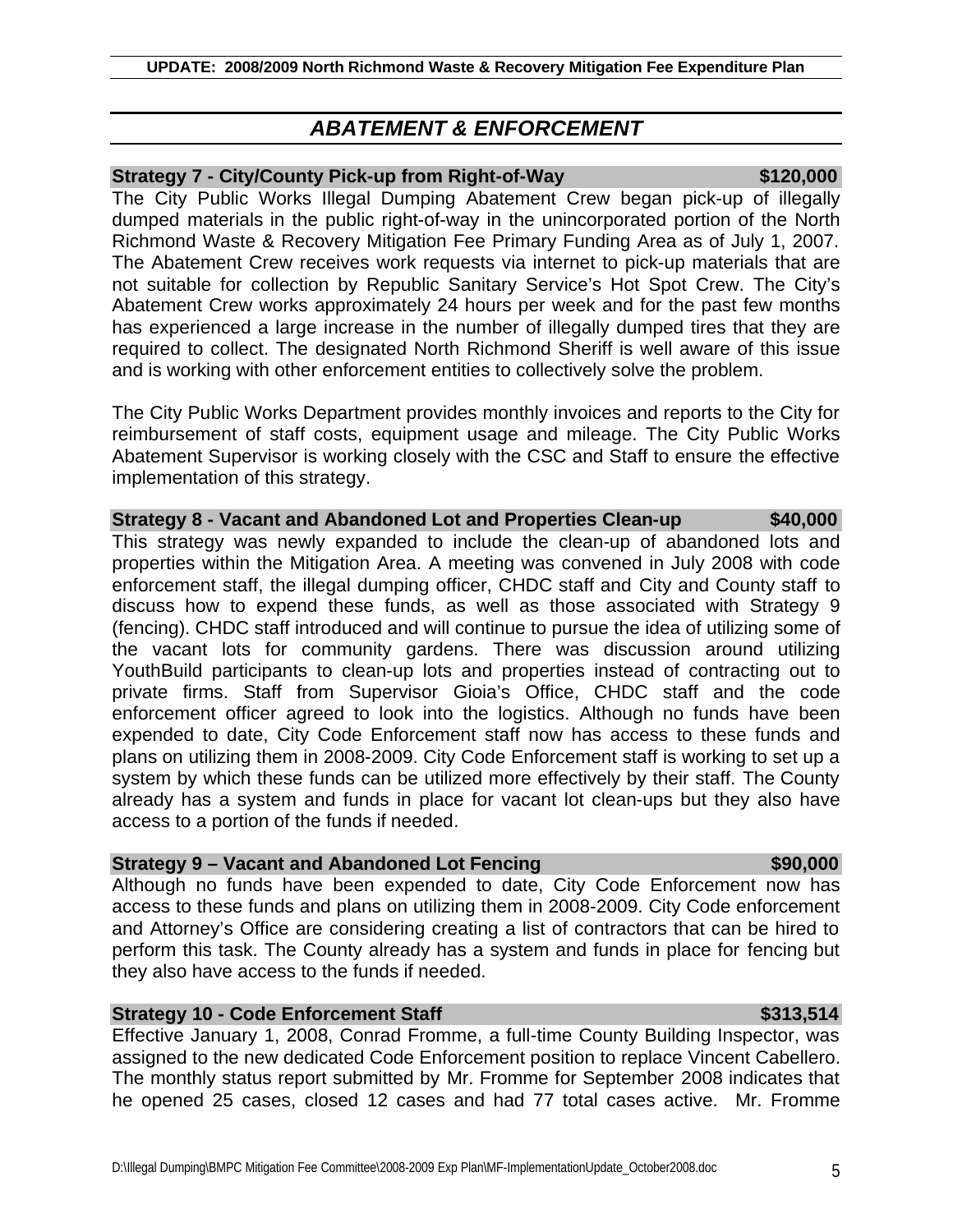# *ABATEMENT & ENFORCEMENT*

# **Strategy 7 - City/County Pick-up from Right-of-Way**  $\frac{1}{2}$  **\$120,000**

The City Public Works Illegal Dumping Abatement Crew began pick-up of illegally dumped materials in the public right-of-way in the unincorporated portion of the North Richmond Waste & Recovery Mitigation Fee Primary Funding Area as of July 1, 2007. The Abatement Crew receives work requests via internet to pick-up materials that are not suitable for collection by Republic Sanitary Service's Hot Spot Crew. The City's Abatement Crew works approximately 24 hours per week and for the past few months has experienced a large increase in the number of illegally dumped tires that they are required to collect. The designated North Richmond Sheriff is well aware of this issue and is working with other enforcement entities to collectively solve the problem.

The City Public Works Department provides monthly invoices and reports to the City for reimbursement of staff costs, equipment usage and mileage. The City Public Works Abatement Supervisor is working closely with the CSC and Staff to ensure the effective implementation of this strategy.

**Strategy 8 - Vacant and Abandoned Lot and Properties Clean-up \$40,000** This strategy was newly expanded to include the clean-up of abandoned lots and properties within the Mitigation Area. A meeting was convened in July 2008 with code enforcement staff, the illegal dumping officer, CHDC staff and City and County staff to discuss how to expend these funds, as well as those associated with Strategy 9 (fencing). CHDC staff introduced and will continue to pursue the idea of utilizing some of the vacant lots for community gardens. There was discussion around utilizing YouthBuild participants to clean-up lots and properties instead of contracting out to private firms. Staff from Supervisor Gioia's Office, CHDC staff and the code enforcement officer agreed to look into the logistics. Although no funds have been expended to date, City Code Enforcement staff now has access to these funds and plans on utilizing them in 2008-2009. City Code Enforcement staff is working to set up a system by which these funds can be utilized more effectively by their staff. The County already has a system and funds in place for vacant lot clean-ups but they also have access to a portion of the funds if needed.

# **Strategy 9 – Vacant and Abandoned Lot Fencing \$90,000 \$90,000**

Although no funds have been expended to date, City Code Enforcement now has access to these funds and plans on utilizing them in 2008-2009. City Code enforcement and Attorney's Office are considering creating a list of contractors that can be hired to perform this task. The County already has a system and funds in place for fencing but they also have access to the funds if needed.

# **Strategy 10 - Code Enforcement Staff \$313,514 \$313,514**

Effective January 1, 2008, Conrad Fromme, a full-time County Building Inspector, was assigned to the new dedicated Code Enforcement position to replace Vincent Cabellero. The monthly status report submitted by Mr. Fromme for September 2008 indicates that he opened 25 cases, closed 12 cases and had 77 total cases active. Mr. Fromme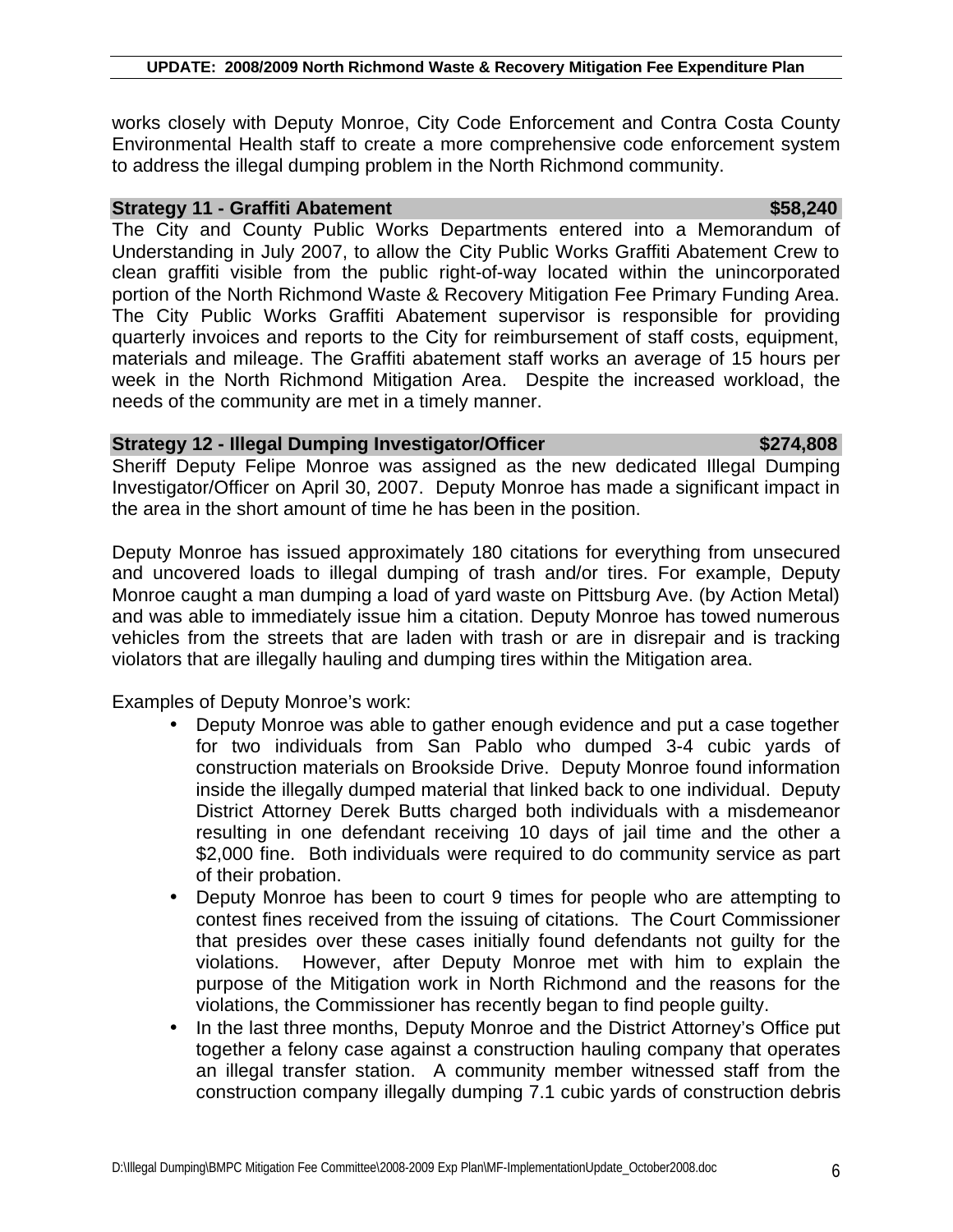works closely with Deputy Monroe, City Code Enforcement and Contra Costa County Environmental Health staff to create a more comprehensive code enforcement system to address the illegal dumping problem in the North Richmond community.

## **Strategy 11 - Graffiti Abatement** \$58,240

The City and County Public Works Departments entered into a Memorandum of Understanding in July 2007, to allow the City Public Works Graffiti Abatement Crew to clean graffiti visible from the public right-of-way located within the unincorporated portion of the North Richmond Waste & Recovery Mitigation Fee Primary Funding Area. The City Public Works Graffiti Abatement supervisor is responsible for providing quarterly invoices and reports to the City for reimbursement of staff costs, equipment, materials and mileage. The Graffiti abatement staff works an average of 15 hours per week in the North Richmond Mitigation Area. Despite the increased workload, the needs of the community are met in a timely manner.

### **Strategy 12 - Illegal Dumping Investigator/Officer \$274,808**

Sheriff Deputy Felipe Monroe was assigned as the new dedicated Illegal Dumping Investigator/Officer on April 30, 2007. Deputy Monroe has made a significant impact in the area in the short amount of time he has been in the position.

Deputy Monroe has issued approximately 180 citations for everything from unsecured and uncovered loads to illegal dumping of trash and/or tires. For example, Deputy Monroe caught a man dumping a load of yard waste on Pittsburg Ave. (by Action Metal) and was able to immediately issue him a citation. Deputy Monroe has towed numerous vehicles from the streets that are laden with trash or are in disrepair and is tracking violators that are illegally hauling and dumping tires within the Mitigation area.

Examples of Deputy Monroe's work:

- Deputy Monroe was able to gather enough evidence and put a case together for two individuals from San Pablo who dumped 3-4 cubic yards of construction materials on Brookside Drive. Deputy Monroe found information inside the illegally dumped material that linked back to one individual. Deputy District Attorney Derek Butts charged both individuals with a misdemeanor resulting in one defendant receiving 10 days of jail time and the other a \$2,000 fine. Both individuals were required to do community service as part of their probation.
- Deputy Monroe has been to court 9 times for people who are attempting to contest fines received from the issuing of citations. The Court Commissioner that presides over these cases initially found defendants not guilty for the violations. However, after Deputy Monroe met with him to explain the purpose of the Mitigation work in North Richmond and the reasons for the violations, the Commissioner has recently began to find people guilty.
- In the last three months, Deputy Monroe and the District Attorney's Office put together a felony case against a construction hauling company that operates an illegal transfer station. A community member witnessed staff from the construction company illegally dumping 7.1 cubic yards of construction debris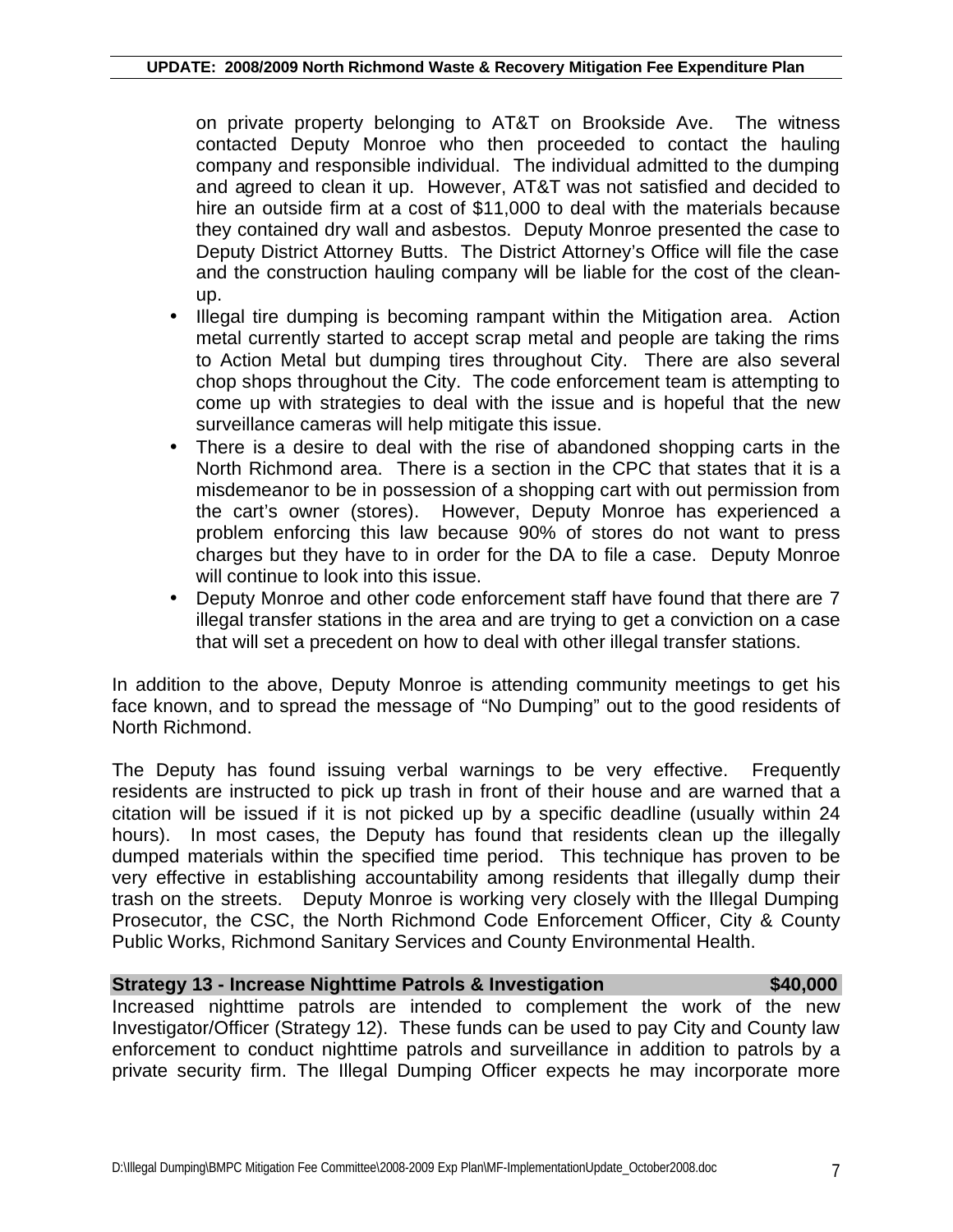on private property belonging to AT&T on Brookside Ave. The witness contacted Deputy Monroe who then proceeded to contact the hauling company and responsible individual. The individual admitted to the dumping and agreed to clean it up. However, AT&T was not satisfied and decided to hire an outside firm at a cost of \$11,000 to deal with the materials because they contained dry wall and asbestos. Deputy Monroe presented the case to Deputy District Attorney Butts. The District Attorney's Office will file the case and the construction hauling company will be liable for the cost of the cleanup.

- Illegal tire dumping is becoming rampant within the Mitigation area. Action metal currently started to accept scrap metal and people are taking the rims to Action Metal but dumping tires throughout City. There are also several chop shops throughout the City. The code enforcement team is attempting to come up with strategies to deal with the issue and is hopeful that the new surveillance cameras will help mitigate this issue.
- There is a desire to deal with the rise of abandoned shopping carts in the North Richmond area. There is a section in the CPC that states that it is a misdemeanor to be in possession of a shopping cart with out permission from the cart's owner (stores). However, Deputy Monroe has experienced a problem enforcing this law because 90% of stores do not want to press charges but they have to in order for the DA to file a case. Deputy Monroe will continue to look into this issue.
- Deputy Monroe and other code enforcement staff have found that there are 7 illegal transfer stations in the area and are trying to get a conviction on a case that will set a precedent on how to deal with other illegal transfer stations.

In addition to the above, Deputy Monroe is attending community meetings to get his face known, and to spread the message of "No Dumping" out to the good residents of North Richmond.

The Deputy has found issuing verbal warnings to be very effective. Frequently residents are instructed to pick up trash in front of their house and are warned that a citation will be issued if it is not picked up by a specific deadline (usually within 24 hours). In most cases, the Deputy has found that residents clean up the illegally dumped materials within the specified time period. This technique has proven to be very effective in establishing accountability among residents that illegally dump their trash on the streets. Deputy Monroe is working very closely with the Illegal Dumping Prosecutor, the CSC, the North Richmond Code Enforcement Officer, City & County Public Works, Richmond Sanitary Services and County Environmental Health.

### **Strategy 13 - Increase Nighttime Patrols & Investigation \$40,000**

Increased nighttime patrols are intended to complement the work of the new Investigator/Officer (Strategy 12). These funds can be used to pay City and County law enforcement to conduct nighttime patrols and surveillance in addition to patrols by a private security firm. The Illegal Dumping Officer expects he may incorporate more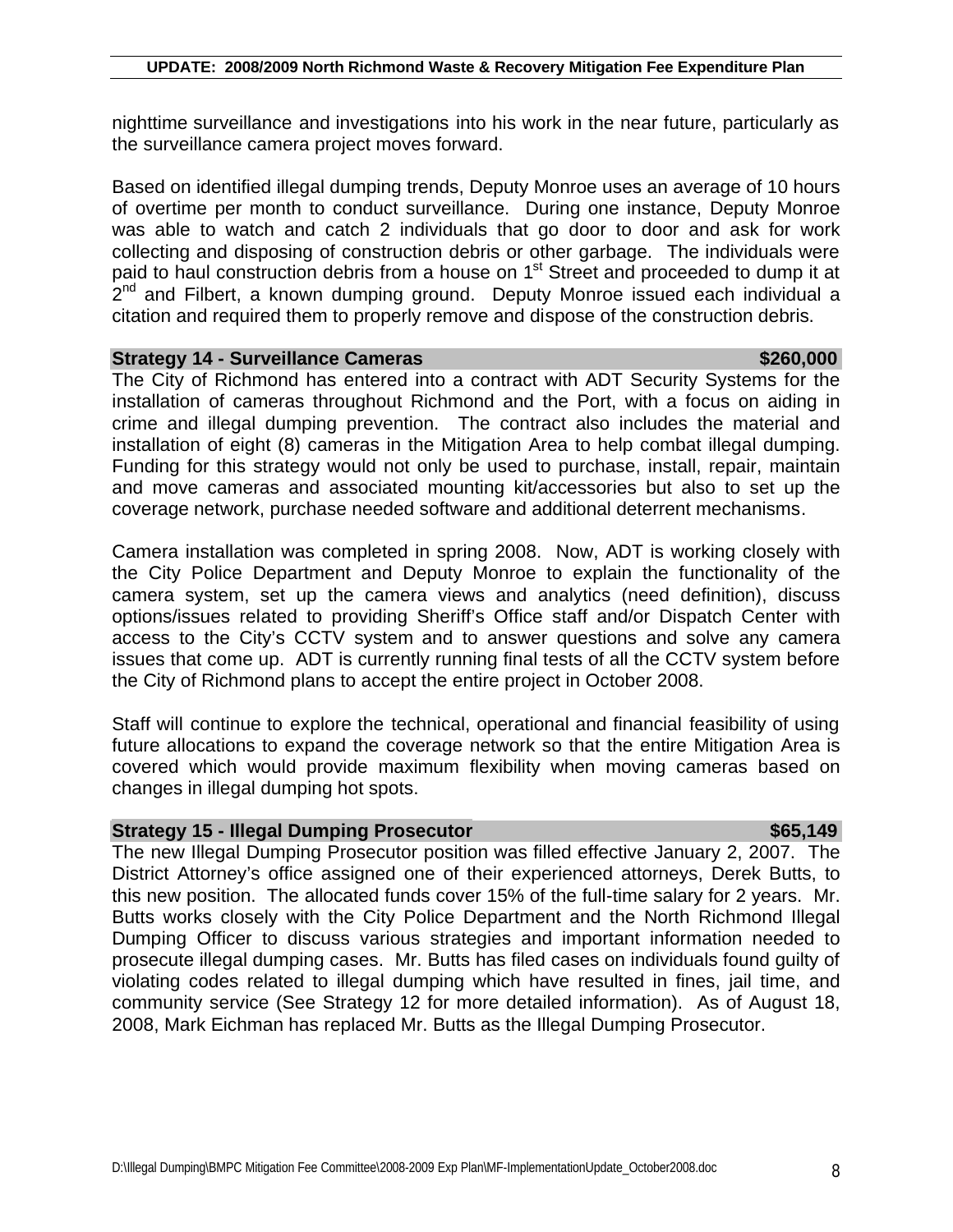nighttime surveillance and investigations into his work in the near future, particularly as the surveillance camera project moves forward.

Based on identified illegal dumping trends, Deputy Monroe uses an average of 10 hours of overtime per month to conduct surveillance. During one instance, Deputy Monroe was able to watch and catch 2 individuals that go door to door and ask for work collecting and disposing of construction debris or other garbage. The individuals were paid to haul construction debris from a house on 1<sup>st</sup> Street and proceeded to dump it at 2<sup>nd</sup> and Filbert, a known dumping ground. Deputy Monroe issued each individual a citation and required them to properly remove and dispose of the construction debris.

### **Strategy 14 - Surveillance Cameras \$260,000 \$260,000**

The City of Richmond has entered into a contract with ADT Security Systems for the installation of cameras throughout Richmond and the Port, with a focus on aiding in crime and illegal dumping prevention. The contract also includes the material and installation of eight (8) cameras in the Mitigation Area to help combat illegal dumping. Funding for this strategy would not only be used to purchase, install, repair, maintain and move cameras and associated mounting kit/accessories but also to set up the coverage network, purchase needed software and additional deterrent mechanisms.

Camera installation was completed in spring 2008. Now, ADT is working closely with the City Police Department and Deputy Monroe to explain the functionality of the camera system, set up the camera views and analytics (need definition), discuss options/issues related to providing Sheriff's Office staff and/or Dispatch Center with access to the City's CCTV system and to answer questions and solve any camera issues that come up. ADT is currently running final tests of all the CCTV system before the City of Richmond plans to accept the entire project in October 2008.

Staff will continue to explore the technical, operational and financial feasibility of using future allocations to expand the coverage network so that the entire Mitigation Area is covered which would provide maximum flexibility when moving cameras based on changes in illegal dumping hot spots.

### **Strategy 15 - Illegal Dumping Prosecutor \$65,149**

The new Illegal Dumping Prosecutor position was filled effective January 2, 2007. The District Attorney's office assigned one of their experienced attorneys, Derek Butts, to this new position. The allocated funds cover 15% of the full-time salary for 2 years. Mr. Butts works closely with the City Police Department and the North Richmond Illegal Dumping Officer to discuss various strategies and important information needed to prosecute illegal dumping cases. Mr. Butts has filed cases on individuals found guilty of violating codes related to illegal dumping which have resulted in fines, jail time, and community service (See Strategy 12 for more detailed information). As of August 18, 2008, Mark Eichman has replaced Mr. Butts as the Illegal Dumping Prosecutor.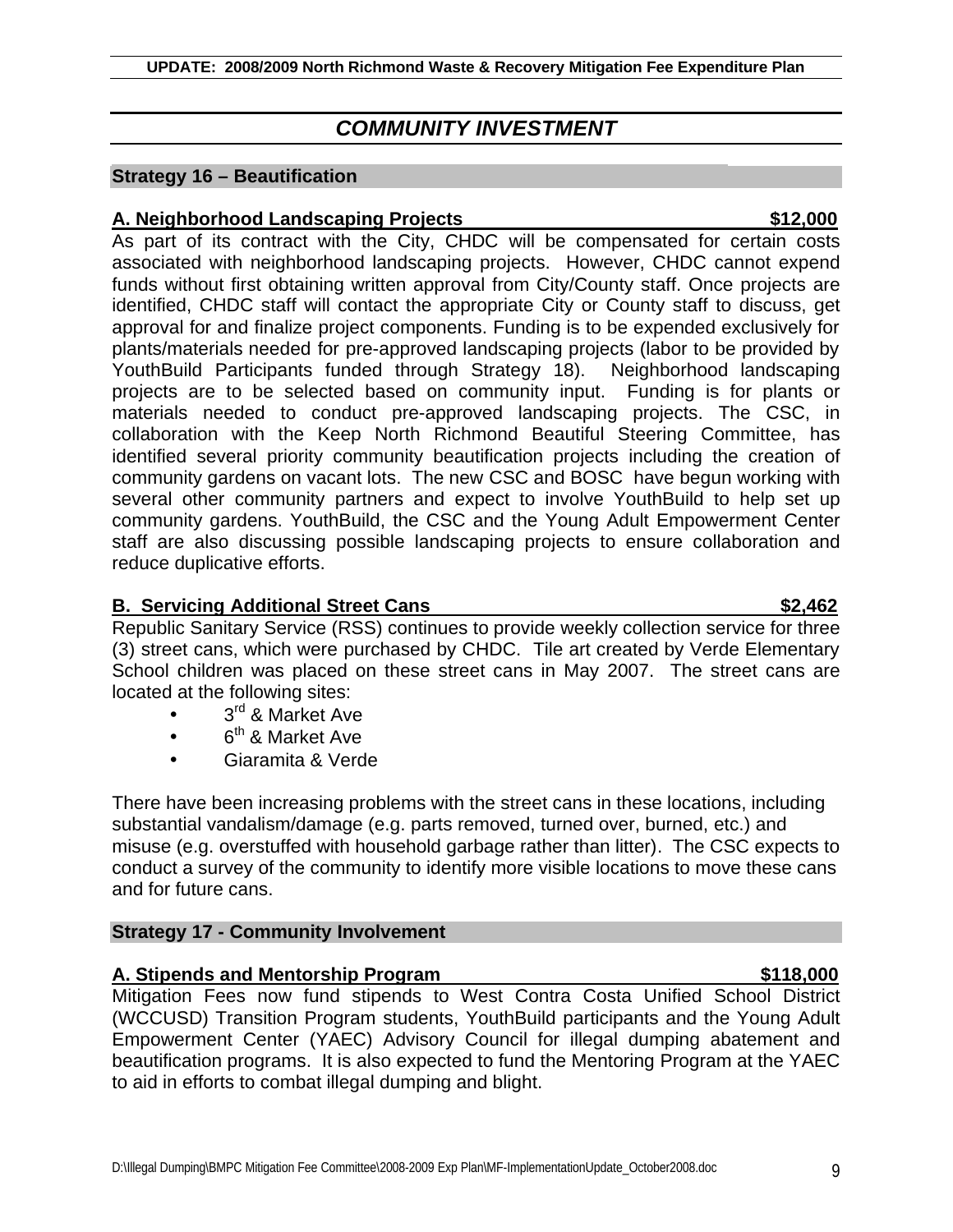# *COMMUNITY INVESTMENT*

# **Strategy 16 – Beautification**

# **A. Neighborhood Landscaping Projects \$12,000**

As part of its contract with the City, CHDC will be compensated for certain costs associated with neighborhood landscaping projects. However, CHDC cannot expend funds without first obtaining written approval from City/County staff. Once projects are identified, CHDC staff will contact the appropriate City or County staff to discuss, get approval for and finalize project components. Funding is to be expended exclusively for plants/materials needed for pre-approved landscaping projects (labor to be provided by YouthBuild Participants funded through Strategy 18). Neighborhood landscaping projects are to be selected based on community input. Funding is for plants or materials needed to conduct pre-approved landscaping projects. The CSC, in collaboration with the Keep North Richmond Beautiful Steering Committee, has identified several priority community beautification projects including the creation of community gardens on vacant lots. The new CSC and BOSC have begun working with several other community partners and expect to involve YouthBuild to help set up community gardens. YouthBuild, the CSC and the Young Adult Empowerment Center staff are also discussing possible landscaping projects to ensure collaboration and reduce duplicative efforts.

# **B. Servicing Additional Street Cans 62,462**

Republic Sanitary Service (RSS) continues to provide weekly collection service for three (3) street cans, which were purchased by CHDC. Tile art created by Verde Elementary School children was placed on these street cans in May 2007. The street cans are located at the following sites:

- 3<sup>rd</sup> & Market Ave
- $\bullet$  6<sup>th</sup> & Market Ave
- Giaramita & Verde

There have been increasing problems with the street cans in these locations, including substantial vandalism/damage (e.g. parts removed, turned over, burned, etc.) and misuse (e.g. overstuffed with household garbage rather than litter). The CSC expects to conduct a survey of the community to identify more visible locations to move these cans and for future cans.

# **Strategy 17 - Community Involvement**

# **A. Stipends and Mentorship Program \$118,000**

Mitigation Fees now fund stipends to West Contra Costa Unified School District (WCCUSD) Transition Program students, YouthBuild participants and the Young Adult Empowerment Center (YAEC) Advisory Council for illegal dumping abatement and beautification programs. It is also expected to fund the Mentoring Program at the YAEC to aid in efforts to combat illegal dumping and blight.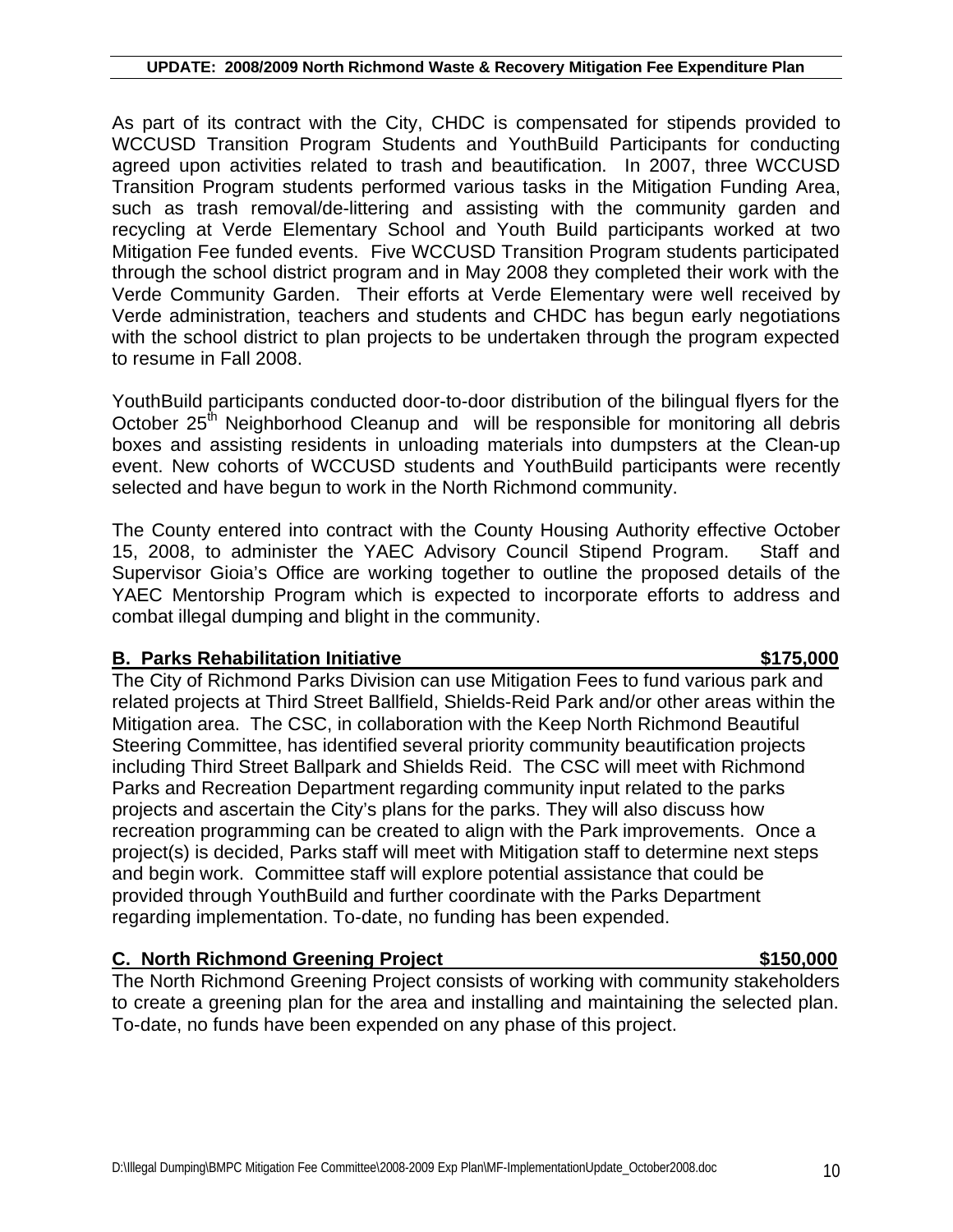As part of its contract with the City, CHDC is compensated for stipends provided to WCCUSD Transition Program Students and YouthBuild Participants for conducting agreed upon activities related to trash and beautification. In 2007, three WCCUSD Transition Program students performed various tasks in the Mitigation Funding Area, such as trash removal/de-littering and assisting with the community garden and recycling at Verde Elementary School and Youth Build participants worked at two Mitigation Fee funded events. Five WCCUSD Transition Program students participated through the school district program and in May 2008 they completed their work with the Verde Community Garden. Their efforts at Verde Elementary were well received by Verde administration, teachers and students and CHDC has begun early negotiations with the school district to plan projects to be undertaken through the program expected to resume in Fall 2008.

YouthBuild participants conducted door-to-door distribution of the bilingual flyers for the October 25<sup>th</sup> Neighborhood Cleanup and will be responsible for monitoring all debris boxes and assisting residents in unloading materials into dumpsters at the Clean-up event. New cohorts of WCCUSD students and YouthBuild participants were recently selected and have begun to work in the North Richmond community.

The County entered into contract with the County Housing Authority effective October 15, 2008, to administer the YAEC Advisory Council Stipend Program. Staff and Supervisor Gioia's Office are working together to outline the proposed details of the YAEC Mentorship Program which is expected to incorporate efforts to address and combat illegal dumping and blight in the community.

# **B. Parks Rehabilitation Initiative 6 and 19 and 18 and 18 and 18 and 18 and 18 and 18 and 18 and 18 and 18 and 18 and 18 and 18 and 18 and 18 and 18 and 18 and 18 and 18 and 18 and 18 and 18 and 18 and 18 and 18 and 18 an**

# The City of Richmond Parks Division can use Mitigation Fees to fund various park and related projects at Third Street Ballfield, Shields-Reid Park and/or other areas within the Mitigation area. The CSC, in collaboration with the Keep North Richmond Beautiful Steering Committee, has identified several priority community beautification projects including Third Street Ballpark and Shields Reid. The CSC will meet with Richmond Parks and Recreation Department regarding community input related to the parks projects and ascertain the City's plans for the parks. They will also discuss how recreation programming can be created to align with the Park improvements. Once a project(s) is decided, Parks staff will meet with Mitigation staff to determine next steps and begin work. Committee staff will explore potential assistance that could be provided through YouthBuild and further coordinate with the Parks Department regarding implementation. To-date, no funding has been expended.

# **C. North Richmond Greening Project \$150,000**

The North Richmond Greening Project consists of working with community stakeholders to create a greening plan for the area and installing and maintaining the selected plan. To-date, no funds have been expended on any phase of this project.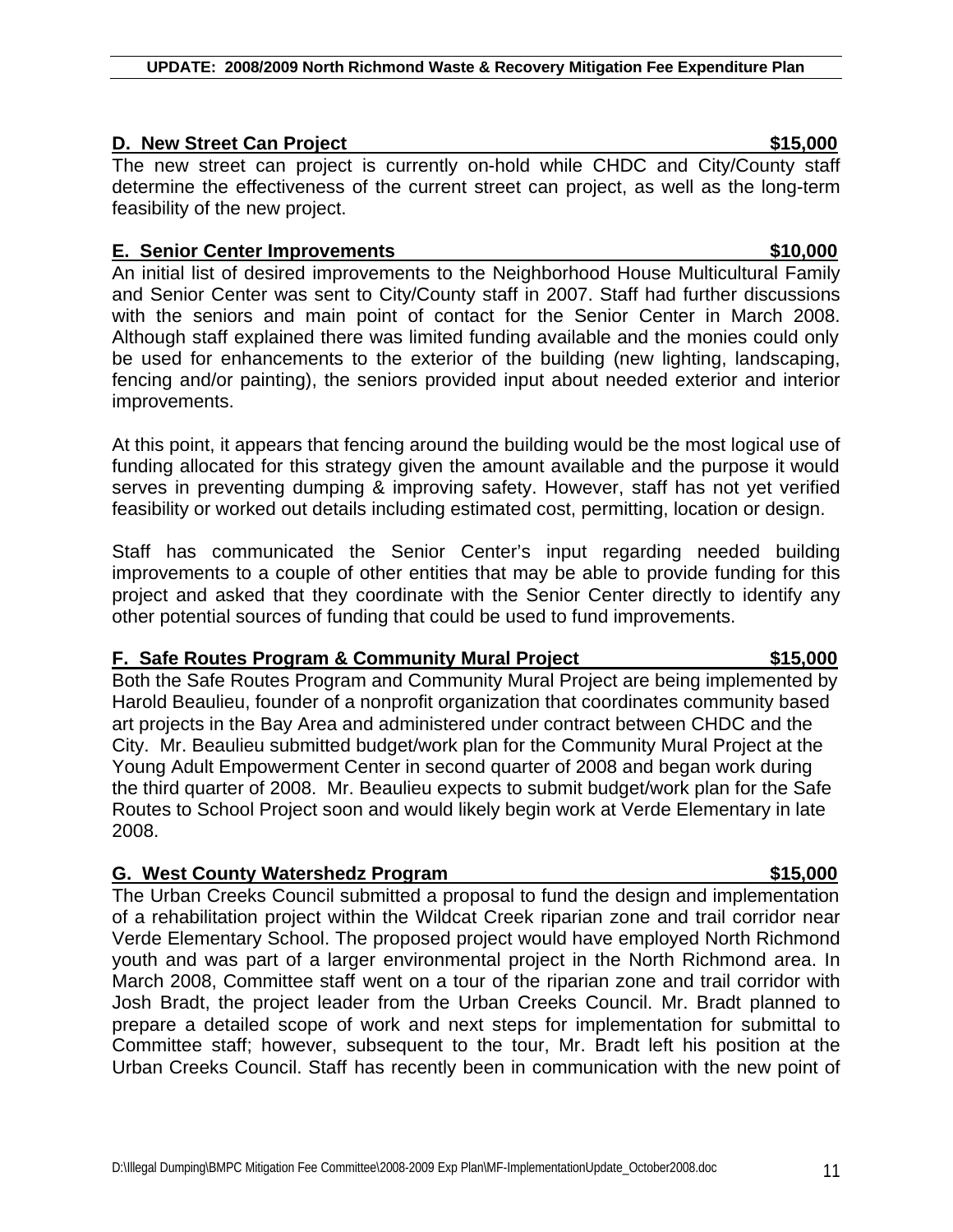# **D. New Street Can Project 1988 CONSERVING SET ALCOHOLOGY SETS**

The new street can project is currently on-hold while CHDC and City/County staff determine the effectiveness of the current street can project, as well as the long-term feasibility of the new project.

# **E. Senior Center Improvements \$10,000**

An initial list of desired improvements to the Neighborhood House Multicultural Family and Senior Center was sent to City/County staff in 2007. Staff had further discussions with the seniors and main point of contact for the Senior Center in March 2008. Although staff explained there was limited funding available and the monies could only be used for enhancements to the exterior of the building (new lighting, landscaping, fencing and/or painting), the seniors provided input about needed exterior and interior improvements.

At this point, it appears that fencing around the building would be the most logical use of funding allocated for this strategy given the amount available and the purpose it would serves in preventing dumping & improving safety. However, staff has not yet verified feasibility or worked out details including estimated cost, permitting, location or design.

Staff has communicated the Senior Center's input regarding needed building improvements to a couple of other entities that may be able to provide funding for this project and asked that they coordinate with the Senior Center directly to identify any other potential sources of funding that could be used to fund improvements.

# **F. Safe Routes Program & Community Mural Project \$15,000**

Both the Safe Routes Program and Community Mural Project are being implemented by Harold Beaulieu, founder of a nonprofit organization that coordinates community based art projects in the Bay Area and administered under contract between CHDC and the City. Mr. Beaulieu submitted budget/work plan for the Community Mural Project at the Young Adult Empowerment Center in second quarter of 2008 and began work during the third quarter of 2008. Mr. Beaulieu expects to submit budget/work plan for the Safe Routes to School Project soon and would likely begin work at Verde Elementary in late 2008.

# **G. West County Watershedz Program 6. Community 15,000**

The Urban Creeks Council submitted a proposal to fund the design and implementation of a rehabilitation project within the Wildcat Creek riparian zone and trail corridor near Verde Elementary School. The proposed project would have employed North Richmond youth and was part of a larger environmental project in the North Richmond area. In March 2008, Committee staff went on a tour of the riparian zone and trail corridor with Josh Bradt, the project leader from the Urban Creeks Council. Mr. Bradt planned to prepare a detailed scope of work and next steps for implementation for submittal to Committee staff; however, subsequent to the tour, Mr. Bradt left his position at the Urban Creeks Council. Staff has recently been in communication with the new point of